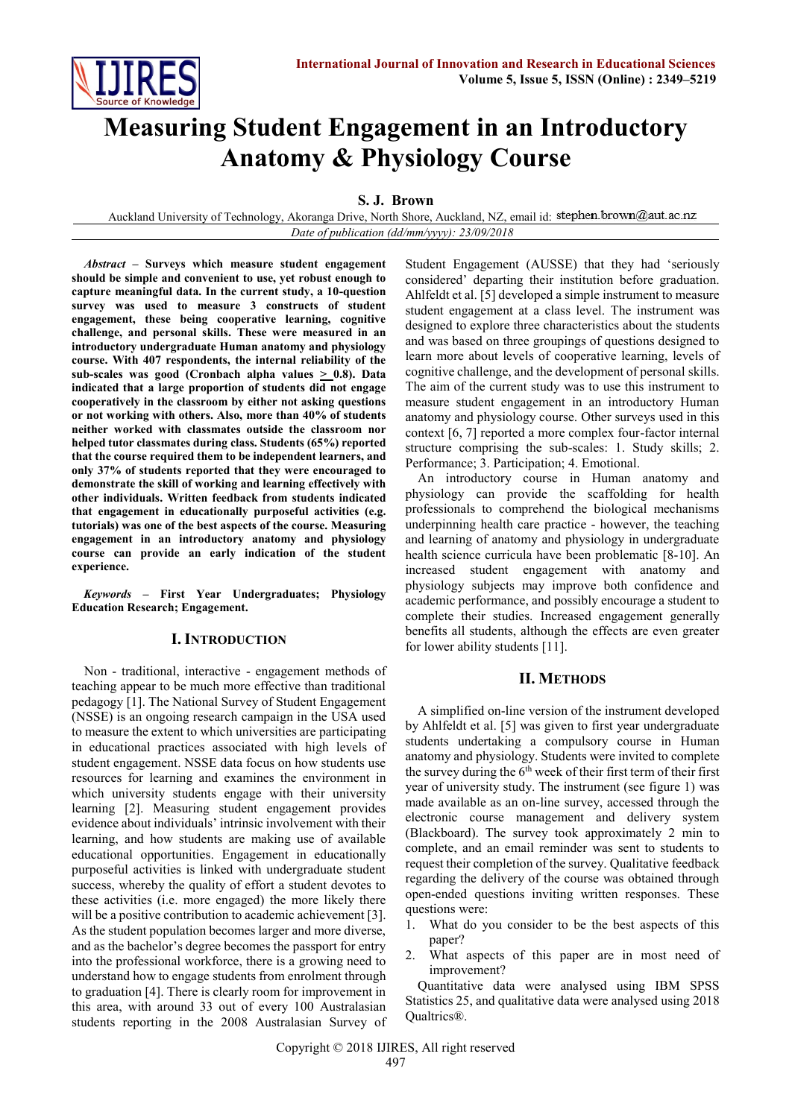

# **Measuring Student Engagement in an Introductory Anatomy & Physiology Course**

**S. J. Brown**

Auckland University of Technology, Akoranga Drive, North Shore, Auckland, NZ, email id: stephen.brown@aut.ac.nz *Date of publication (dd/mm/yyyy): 23/09/2018*

*Abstract* **– Surveys which measure student engagement should be simple and convenient to use, yet robust enough to capture meaningful data. In the current study, a 10-question survey was used to measure 3 constructs of student engagement, these being cooperative learning, cognitive challenge, and personal skills. These were measured in an introductory undergraduate Human anatomy and physiology course. With 407 respondents, the internal reliability of the**  sub-scales was good (Cronbach alpha values  $\geq$  0.8). Data **indicated that a large proportion of students did not engage cooperatively in the classroom by either not asking questions or not working with others. Also, more than 40% of students neither worked with classmates outside the classroom nor helped tutor classmates during class. Students (65%) reported that the course required them to be independent learners, and only 37% of students reported that they were encouraged to demonstrate the skill of working and learning effectively with other individuals. Written feedback from students indicated that engagement in educationally purposeful activities (e.g. tutorials) was one of the best aspects of the course. Measuring engagement in an introductory anatomy and physiology course can provide an early indication of the student experience.**

*Keywords* **– First Year Undergraduates; Physiology Education Research; Engagement.**

## **I. INTRODUCTION**

Non - traditional, interactive - engagement methods of teaching appear to be much more effective than traditional pedagogy [1]. The National Survey of Student Engagement (NSSE) is an ongoing research campaign in the USA used to measure the extent to which universities are participating in educational practices associated with high levels of student engagement. NSSE data focus on how students use resources for learning and examines the environment in which university students engage with their university learning [2]. Measuring student engagement provides evidence about individuals' intrinsic involvement with their learning, and how students are making use of available educational opportunities. Engagement in educationally purposeful activities is linked with undergraduate student success, whereby the quality of effort a student devotes to these activities (i.e. more engaged) the more likely there will be a positive contribution to academic achievement [3]. As the student population becomes larger and more diverse, and as the bachelor's degree becomes the passport for entry into the professional workforce, there is a growing need to understand how to engage students from enrolment through to graduation [4]. There is clearly room for improvement in this area, with around 33 out of every 100 Australasian students reporting in the 2008 Australasian Survey of Student Engagement (AUSSE) that they had 'seriously considered' departing their institution before graduation. Ahlfeldt et al. [5] developed a simple instrument to measure student engagement at a class level. The instrument was designed to explore three characteristics about the students and was based on three groupings of questions designed to learn more about levels of cooperative learning, levels of cognitive challenge, and the development of personal skills. The aim of the current study was to use this instrument to measure student engagement in an introductory Human anatomy and physiology course. Other surveys used in this context [6, 7] reported a more complex four-factor internal structure comprising the sub-scales: 1. Study skills; 2. Performance; 3. Participation; 4. Emotional.

An introductory course in Human anatomy and physiology can provide the scaffolding for health professionals to comprehend the biological mechanisms underpinning health care practice - however, the teaching and learning of anatomy and physiology in undergraduate health science curricula have been problematic [8-10]. An increased student engagement with anatomy and physiology subjects may improve both confidence and academic performance, and possibly encourage a student to complete their studies. Increased engagement generally benefits all students, although the effects are even greater for lower ability students [11].

## **II. METHODS**

A simplified on-line version of the instrument developed by Ahlfeldt et al. [5] was given to first year undergraduate students undertaking a compulsory course in Human anatomy and physiology. Students were invited to complete the survey during the  $6<sup>th</sup>$  week of their first term of their first year of university study. The instrument (see figure 1) was made available as an on-line survey, accessed through the electronic course management and delivery system (Blackboard). The survey took approximately 2 min to complete, and an email reminder was sent to students to request their completion of the survey. Qualitative feedback regarding the delivery of the course was obtained through open-ended questions inviting written responses. These questions were:

- 1. What do you consider to be the best aspects of this paper?
- 2. What aspects of this paper are in most need of improvement?

Quantitative data were analysed using IBM SPSS Statistics 25, and qualitative data were analysed using 2018 Qualtrics®.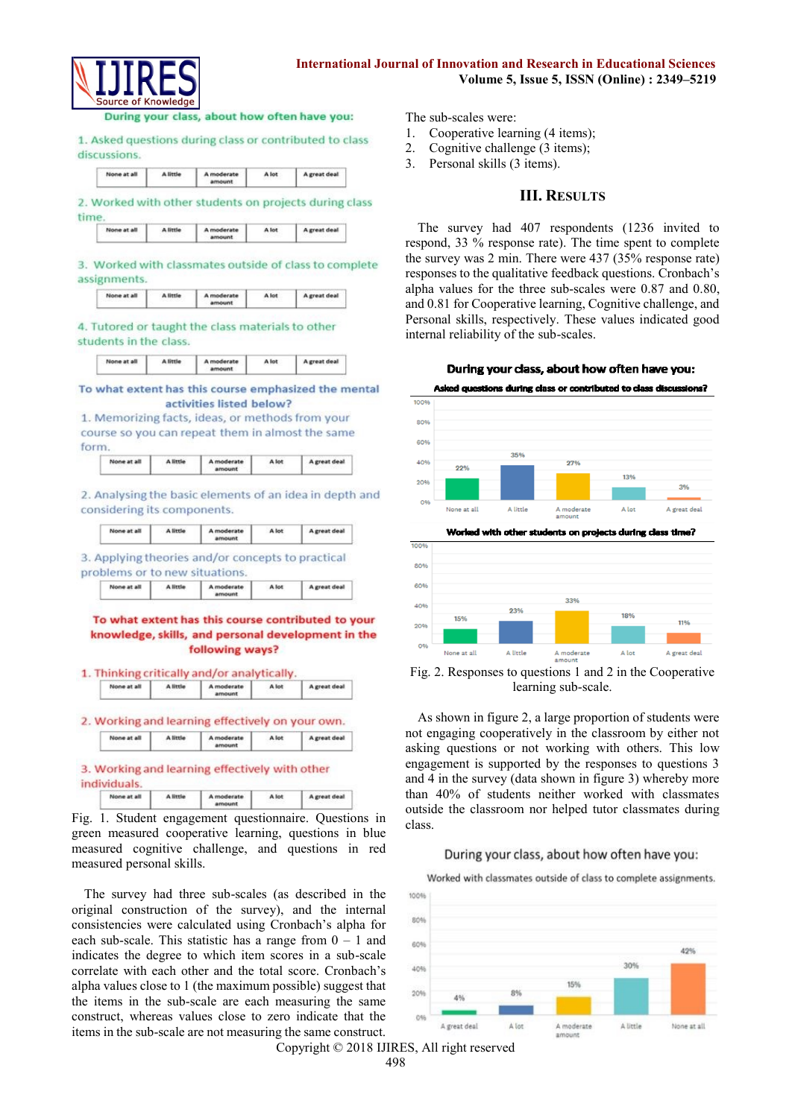

## **International Journal of Innovation and Research in Educational Sciences Volume 5, Issue 5, ISSN (Online) : 2349–5219**

During your class, about how often have you:

1. Asked questions during class or contributed to class discussions.

| None at all | <b>A</b> little | A moderate | A lot | A great deal |
|-------------|-----------------|------------|-------|--------------|
|             |                 |            |       |              |

2. Worked with other students on projects during class time

| A little<br>A moderate | A lot | A great deal |
|------------------------|-------|--------------|
|------------------------|-------|--------------|

3. Worked with classmates outside of class to complete assignments.

| None at all | A little | moderate | A lot | A great deal |
|-------------|----------|----------|-------|--------------|
|-------------|----------|----------|-------|--------------|

4. Tutored or taught the class materials to other students in the class.

| None at all | A little | A moderate | A lot | A great deal |
|-------------|----------|------------|-------|--------------|
|-------------|----------|------------|-------|--------------|

To what extent has this course emphasized the mental activities listed below?

1. Memorizing facts, ideas, or methods from your course so you can repeat them in almost the same form.

| None at all | A little | A moderate<br>amount | A lot | A great deal |
|-------------|----------|----------------------|-------|--------------|
|-------------|----------|----------------------|-------|--------------|

2. Analysing the basic elements of an idea in depth and considering its components.

| None at all | A little | A moderate<br>mount | A lot | A great deal |
|-------------|----------|---------------------|-------|--------------|
|             |          |                     |       |              |

3. Applying theories and/or concepts to practical problems or to new situations. None at all A little A moderate A lot A great deal

To what extent has this course contributed to your

#### knowledge, skills, and personal development in the following ways?

| None at all | A little | A moderate<br>amount                             | A lot | A great deal |
|-------------|----------|--------------------------------------------------|-------|--------------|
|             |          | 2. Working and learning effectively on your own. |       |              |
|             |          |                                                  |       |              |

A moderate None at all A little A lot A great deal

Fig. 1. Student engagement questionnaire. Questions in green measured cooperative learning, questions in blue measured cognitive challenge, and questions in red measured personal skills.

The survey had three sub-scales (as described in the original construction of the survey), and the internal consistencies were calculated using Cronbach's alpha for each sub-scale. This statistic has a range from  $0 - 1$  and indicates the degree to which item scores in a sub-scale correlate with each other and the total score. Cronbach's alpha values close to 1 (the maximum possible) suggest that the items in the sub-scale are each measuring the same construct, whereas values close to zero indicate that the items in the sub-scale are not measuring the same construct. The sub-scales were:

- 1. Cooperative learning (4 items);
- 2. Cognitive challenge (3 items);
- 3. Personal skills (3 items).

## **III. RESULTS**

The survey had 407 respondents (1236 invited to respond, 33 % response rate). The time spent to complete the survey was 2 min. There were 437 (35% response rate) responses to the qualitative feedback questions. Cronbach's alpha values for the three sub-scales were 0.87 and 0.80, and 0.81 for Cooperative learning, Cognitive challenge, and Personal skills, respectively. These values indicated good internal reliability of the sub-scales.



Asked questions during class or contributed to class discussions?





Fig. 2. Responses to questions 1 and 2 in the Cooperative learning sub-scale.

As shown in figure 2, a large proportion of students were not engaging cooperatively in the classroom by either not asking questions or not working with others. This low engagement is supported by the responses to questions 3 and 4 in the survey (data shown in figure 3) whereby more than 40% of students neither worked with classmates outside the classroom nor helped tutor classmates during class.

#### During your class, about how often have you:

Worked with classmates outside of class to complete assignments.



Copyright © 2018 IJIRES, All right reserved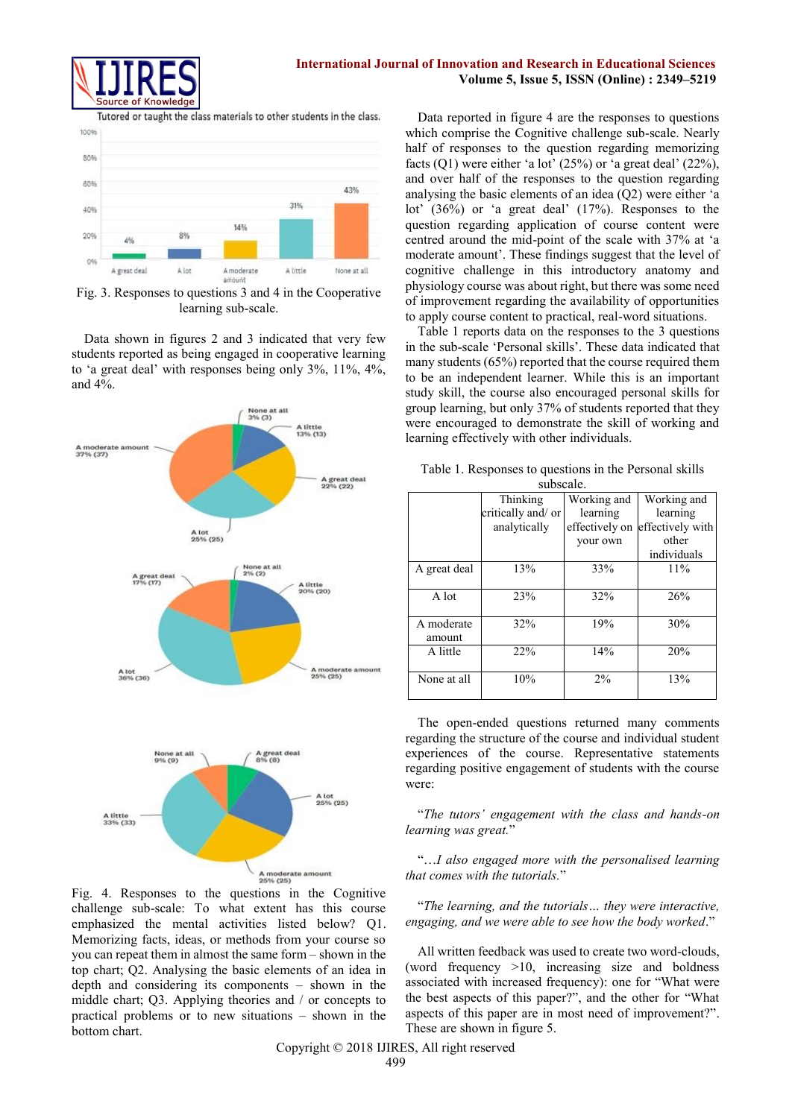

Tutored or taught the class materials to other students in the class.



Fig. 3. Responses to questions 3 and 4 in the Cooperative learning sub-scale.

Data shown in figures 2 and 3 indicated that very few students reported as being engaged in cooperative learning to 'a great deal' with responses being only 3%, 11%, 4%, and 4%.



Fig. 4. Responses to the questions in the Cognitive challenge sub-scale: To what extent has this course emphasized the mental activities listed below? Q1. Memorizing facts, ideas, or methods from your course so you can repeat them in almost the same form – shown in the top chart; Q2. Analysing the basic elements of an idea in depth and considering its components – shown in the middle chart; Q3. Applying theories and / or concepts to practical problems or to new situations – shown in the bottom chart.

Data reported in figure 4 are the responses to questions which comprise the Cognitive challenge sub-scale. Nearly half of responses to the question regarding memorizing facts  $(Q1)$  were either 'a lot'  $(25%)$  or 'a great deal'  $(22%)$ , and over half of the responses to the question regarding analysing the basic elements of an idea (Q2) were either 'a lot' (36%) or 'a great deal' (17%). Responses to the question regarding application of course content were centred around the mid-point of the scale with 37% at 'a moderate amount'. These findings suggest that the level of cognitive challenge in this introductory anatomy and physiology course was about right, but there was some need of improvement regarding the availability of opportunities to apply course content to practical, real-word situations.

Table 1 reports data on the responses to the 3 questions in the sub-scale 'Personal skills'. These data indicated that many students (65%) reported that the course required them to be an independent learner. While this is an important study skill, the course also encouraged personal skills for group learning, but only 37% of students reported that they were encouraged to demonstrate the skill of working and learning effectively with other individuals.

|              | ouoovaiv.          |                |                  |
|--------------|--------------------|----------------|------------------|
|              | Thinking           | Working and    | Working and      |
|              | critically and/ or | learning       | learning         |
|              | analytically       | effectively on | effectively with |
|              |                    | your own       | other            |
|              |                    |                | individuals      |
| A great deal | 13%                | 33%            | 11%              |
|              |                    |                |                  |
| A lot        | 23%                | 32%            | 26%              |
|              |                    |                |                  |
| A moderate   | 32%                | 19%            | 30%              |
| amount       |                    |                |                  |
| A little     | 22%                | 14%            | 20%              |
|              |                    |                |                  |
| None at all  | 10%                | 2%             | 13%              |
|              |                    |                |                  |

| Table 1. Responses to questions in the Personal skills |  |  |
|--------------------------------------------------------|--|--|
| subscale.                                              |  |  |

The open-ended questions returned many comments regarding the structure of the course and individual student experiences of the course. Representative statements regarding positive engagement of students with the course were:

"*The tutors' engagement with the class and hands-on learning was great.*"

"…*I also engaged more with the personalised learning that comes with the tutorials.*"

"*The learning, and the tutorials… they were interactive, engaging, and we were able to see how the body worked*."

All written feedback was used to create two word-clouds, (word frequency >10, increasing size and boldness associated with increased frequency): one for "What were the best aspects of this paper?", and the other for "What aspects of this paper are in most need of improvement?". These are shown in figure 5.

Copyright © 2018 IJIRES, All right reserved 499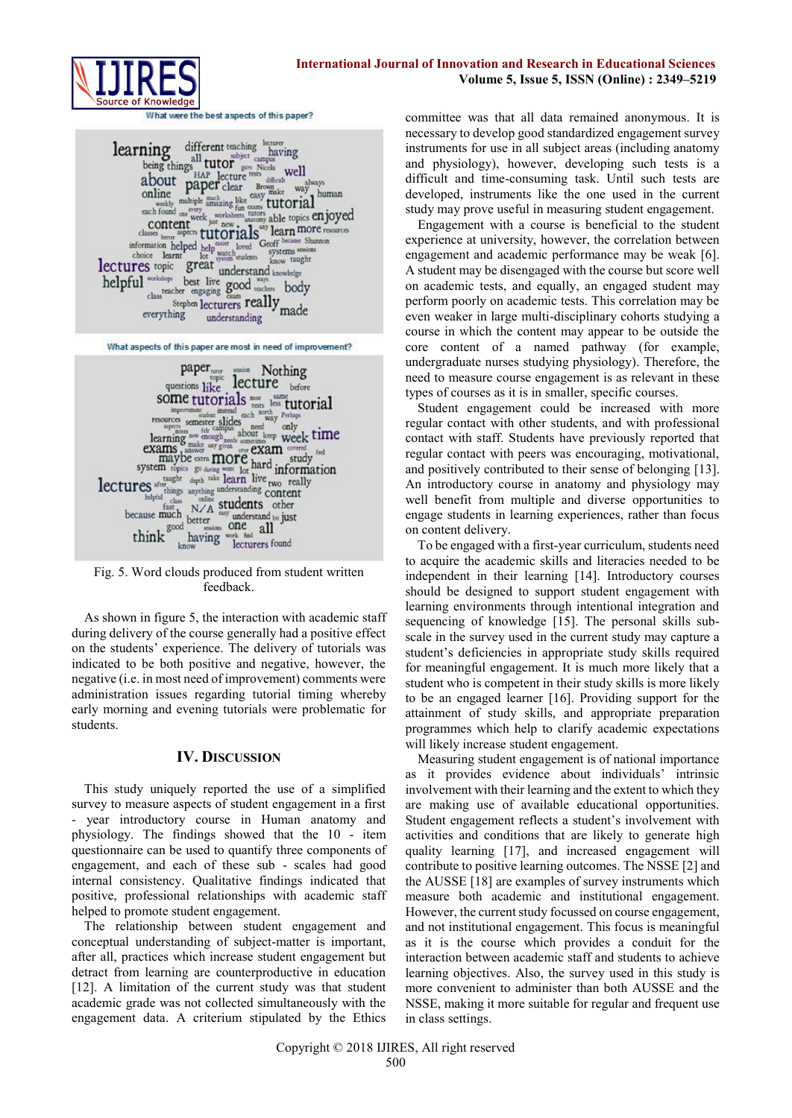

What were the best aspects of this paper?

learning different teaching locuster and the subject camps<br>
about paper clear shock well about paper clear stress deficition and the<br>
mark of the second content and the second second content and the second content<br>
class b learning different teaching having helpful wishing best live good was body Stephen lecturers really made everything understanding

What aspects of this paper are most in need of improvement?



Fig. 5. Word clouds produced from student written feedback.

As shown in figure 5, the interaction with academic staff during delivery of the course generally had a positive effect on the students' experience. The delivery of tutorials was indicated to be both positive and negative, however, the negative (i.e. in most need of improvement) comments were administration issues regarding tutorial timing whereby early morning and evening tutorials were problematic for students.

## **IV. DISCUSSION**

This study uniquely reported the use of a simplified survey to measure aspects of student engagement in a first - year introductory course in Human anatomy and physiology. The findings showed that the 10 - item questionnaire can be used to quantify three components of engagement, and each of these sub - scales had good internal consistency. Qualitative findings indicated that positive, professional relationships with academic staff helped to promote student engagement.

The relationship between student engagement and conceptual understanding of subject-matter is important, after all, practices which increase student engagement but detract from learning are counterproductive in education [12]. A limitation of the current study was that student academic grade was not collected simultaneously with the engagement data. A criterium stipulated by the Ethics committee was that all data remained anonymous. It is necessary to develop good standardized engagement survey instruments for use in all subject areas (including anatomy and physiology), however, developing such tests is a difficult and time-consuming task. Until such tests are developed, instruments like the one used in the current study may prove useful in measuring student engagement.

Engagement with a course is beneficial to the student experience at university, however, the correlation between engagement and academic performance may be weak [6]. A student may be disengaged with the course but score well on academic tests, and equally, an engaged student may perform poorly on academic tests. This correlation may be even weaker in large multi-disciplinary cohorts studying a course in which the content may appear to be outside the core content of a named pathway (for example, undergraduate nurses studying physiology). Therefore, the need to measure course engagement is as relevant in these types of courses as it is in smaller, specific courses.

Student engagement could be increased with more regular contact with other students, and with professional contact with staff. Students have previously reported that regular contact with peers was encouraging, motivational, and positively contributed to their sense of belonging [13]. An introductory course in anatomy and physiology may well benefit from multiple and diverse opportunities to engage students in learning experiences, rather than focus on content delivery.

To be engaged with a first-year curriculum, students need to acquire the academic skills and literacies needed to be independent in their learning [14]. Introductory courses should be designed to support student engagement with learning environments through intentional integration and sequencing of knowledge [15]. The personal skills subscale in the survey used in the current study may capture a student's deficiencies in appropriate study skills required for meaningful engagement. It is much more likely that a student who is competent in their study skills is more likely to be an engaged learner [16]. Providing support for the attainment of study skills, and appropriate preparation programmes which help to clarify academic expectations will likely increase student engagement.

Measuring student engagement is of national importance as it provides evidence about individuals' intrinsic involvement with their learning and the extent to which they are making use of available educational opportunities. Student engagement reflects a student's involvement with activities and conditions that are likely to generate high quality learning [17], and increased engagement will contribute to positive learning outcomes. The NSSE [2] and the AUSSE [18] are examples of survey instruments which measure both academic and institutional engagement. However, the current study focussed on course engagement, and not institutional engagement. This focus is meaningful as it is the course which provides a conduit for the interaction between academic staff and students to achieve learning objectives. Also, the survey used in this study is more convenient to administer than both AUSSE and the NSSE, making it more suitable for regular and frequent use in class settings.